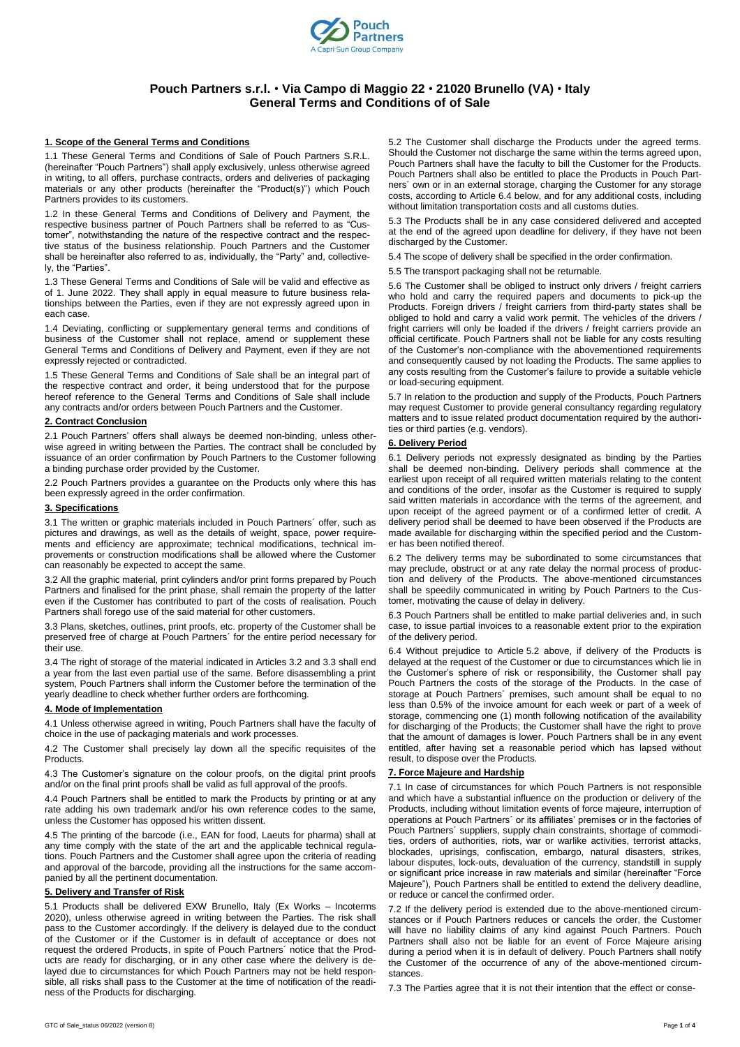

# **Pouch Partners s.r.l.** • **Via Campo di Maggio 22** • **21020 Brunello (VA)** • **Italy General Terms and Conditions of of Sale**

## **1. Scope of the General Terms and Conditions**

1.1 These General Terms and Conditions of Sale of Pouch Partners S.R.L. (hereinafter "Pouch Partners") shall apply exclusively, unless otherwise agreed in writing, to all offers, purchase contracts, orders and deliveries of packaging materials or any other products (hereinafter the "Product(s)") which Pouch Partners provides to its customers.

1.2 In these General Terms and Conditions of Delivery and Payment, the respective business partner of Pouch Partners shall be referred to as "Customer", notwithstanding the nature of the respective contract and the respective status of the business relationship. Pouch Partners and the Customer shall be hereinafter also referred to as, individually, the "Party" and, collectively, the "Parties".

1.3 These General Terms and Conditions of Sale will be valid and effective as of 1. June 2022. They shall apply in equal measure to future business relationships between the Parties, even if they are not expressly agreed upon in each case.

1.4 Deviating, conflicting or supplementary general terms and conditions of business of the Customer shall not replace, amend or supplement these General Terms and Conditions of Delivery and Payment, even if they are not expressly rejected or contradicted.

1.5 These General Terms and Conditions of Sale shall be an integral part of the respective contract and order, it being understood that for the purpose hereof reference to the General Terms and Conditions of Sale shall include any contracts and/or orders between Pouch Partners and the Customer.

#### **2. Contract Conclusion**

2.1 Pouch Partners' offers shall always be deemed non-binding, unless otherwise agreed in writing between the Parties. The contract shall be concluded by issuance of an order confirmation by Pouch Partners to the Customer following a binding purchase order provided by the Customer.

2.2 Pouch Partners provides a guarantee on the Products only where this has been expressly agreed in the order confirmation.

# **3. Specifications**

3.1 The written or graphic materials included in Pouch Partners´ offer, such as pictures and drawings, as well as the details of weight, space, power requirements and efficiency are approximate; technical modifications, technical improvements or construction modifications shall be allowed where the Customer can reasonably be expected to accept the same.

3.2 All the graphic material, print cylinders and/or print forms prepared by Pouch Partners and finalised for the print phase, shall remain the property of the latter even if the Customer has contributed to part of the costs of realisation. Pouch Partners shall forego use of the said material for other customers.

3.3 Plans, sketches, outlines, print proofs, etc. property of the Customer shall be preserved free of charge at Pouch Partners´ for the entire period necessary for their use.

3.4 The right of storage of the material indicated in Articles 3.2 and 3.3 shall end a year from the last even partial use of the same. Before disassembling a print system, Pouch Partners shall inform the Customer before the termination of the yearly deadline to check whether further orders are forthcoming.

## **4. Mode of Implementation**

4.1 Unless otherwise agreed in writing, Pouch Partners shall have the faculty of choice in the use of packaging materials and work processes.

4.2 The Customer shall precisely lay down all the specific requisites of the Products.

4.3 The Customer's signature on the colour proofs, on the digital print proofs and/or on the final print proofs shall be valid as full approval of the proofs.

4.4 Pouch Partners shall be entitled to mark the Products by printing or at any rate adding his own trademark and/or his own reference codes to the same, unless the Customer has opposed his written dissent.

4.5 The printing of the barcode (i.e., EAN for food, Laeuts for pharma) shall at any time comply with the state of the art and the applicable technical regulations. Pouch Partners and the Customer shall agree upon the criteria of reading and approval of the barcode, providing all the instructions for the same accompanied by all the pertinent documentation.

#### **5. Delivery and Transfer of Risk**

5.1 Products shall be delivered EXW Brunello, Italy (Ex Works – Incoterms 2020), unless otherwise agreed in writing between the Parties. The risk shall pass to the Customer accordingly. If the delivery is delayed due to the conduct of the Customer or if the Customer is in default of acceptance or does not request the ordered Products, in spite of Pouch Partners´ notice that the Products are ready for discharging, or in any other case where the delivery is delayed due to circumstances for which Pouch Partners may not be held responsible, all risks shall pass to the Customer at the time of notification of the readiness of the Products for discharging.

5.2 The Customer shall discharge the Products under the agreed terms. Should the Customer not discharge the same within the terms agreed upon, Pouch Partners shall have the faculty to bill the Customer for the Products. Pouch Partners shall also be entitled to place the Products in Pouch Partners´ own or in an external storage, charging the Customer for any storage costs, according to Article 6.4 below, and for any additional costs, including without limitation transportation costs and all customs duties.

5.3 The Products shall be in any case considered delivered and accepted at the end of the agreed upon deadline for delivery, if they have not been discharged by the Customer.

5.4 The scope of delivery shall be specified in the order confirmation.

5.5 The transport packaging shall not be returnable.

5.6 The Customer shall be obliged to instruct only drivers / freight carriers who hold and carry the required papers and documents to pick-up the Products. Foreign drivers / freight carriers from third-party states shall be obliged to hold and carry a valid work permit. The vehicles of the drivers / fright carriers will only be loaded if the drivers / freight carriers provide an official certificate. Pouch Partners shall not be liable for any costs resulting of the Customer's non-compliance with the abovementioned requirements and consequently caused by not loading the Products. The same applies to any costs resulting from the Customer's failure to provide a suitable vehicle or load-securing equipment.

5.7 In relation to the production and supply of the Products, Pouch Partners may request Customer to provide general consultancy regarding regulatory matters and to issue related product documentation required by the authorities or third parties (e.g. vendors).

## **6. Delivery Period**

6.1 Delivery periods not expressly designated as binding by the Parties shall be deemed non-binding. Delivery periods shall commence at the earliest upon receipt of all required written materials relating to the content and conditions of the order, insofar as the Customer is required to supply said written materials in accordance with the terms of the agreement, and upon receipt of the agreed payment or of a confirmed letter of credit. A delivery period shall be deemed to have been observed if the Products are made available for discharging within the specified period and the Customer has been notified thereof.

6.2 The delivery terms may be subordinated to some circumstances that may preclude, obstruct or at any rate delay the normal process of production and delivery of the Products. The above-mentioned circumstances shall be speedily communicated in writing by Pouch Partners to the Customer, motivating the cause of delay in delivery.

6.3 Pouch Partners shall be entitled to make partial deliveries and, in such case, to issue partial invoices to a reasonable extent prior to the expiration of the delivery period.

6.4 Without prejudice to Article 5.2 above, if delivery of the Products is delayed at the request of the Customer or due to circumstances which lie in the Customer's sphere of risk or responsibility, the Customer shall pay Pouch Partners the costs of the storage of the Products. In the case of storage at Pouch Partners´ premises, such amount shall be equal to no less than 0.5% of the invoice amount for each week or part of a week of storage, commencing one (1) month following notification of the availability for discharging of the Products; the Customer shall have the right to prove that the amount of damages is lower. Pouch Partners shall be in any event entitled, after having set a reasonable period which has lapsed without result, to dispose over the Products.

## **7. Force Majeure and Hardship**

7.1 In case of circumstances for which Pouch Partners is not responsible and which have a substantial influence on the production or delivery of the Products, including without limitation events of force majeure, interruption of operations at Pouch Partners´ or its affiliates' premises or in the factories of Pouch Partners´ suppliers, supply chain constraints, shortage of commodities, orders of authorities, riots, war or warlike activities, terrorist attacks, blockades, uprisings, confiscation, embargo, natural disasters, strikes, labour disputes, lock-outs, devaluation of the currency, standstill in supply or significant price increase in raw materials and similar (hereinafter "Force Majeure"), Pouch Partners shall be entitled to extend the delivery deadline, or reduce or cancel the confirmed order.

7.2 If the delivery period is extended due to the above-mentioned circumstances or if Pouch Partners reduces or cancels the order, the Customer will have no liability claims of any kind against Pouch Partners. Pouch Partners shall also not be liable for an event of Force Majeure arising during a period when it is in default of delivery. Pouch Partners shall notify the Customer of the occurrence of any of the above-mentioned circumstances.

7.3 The Parties agree that it is not their intention that the effect or conse-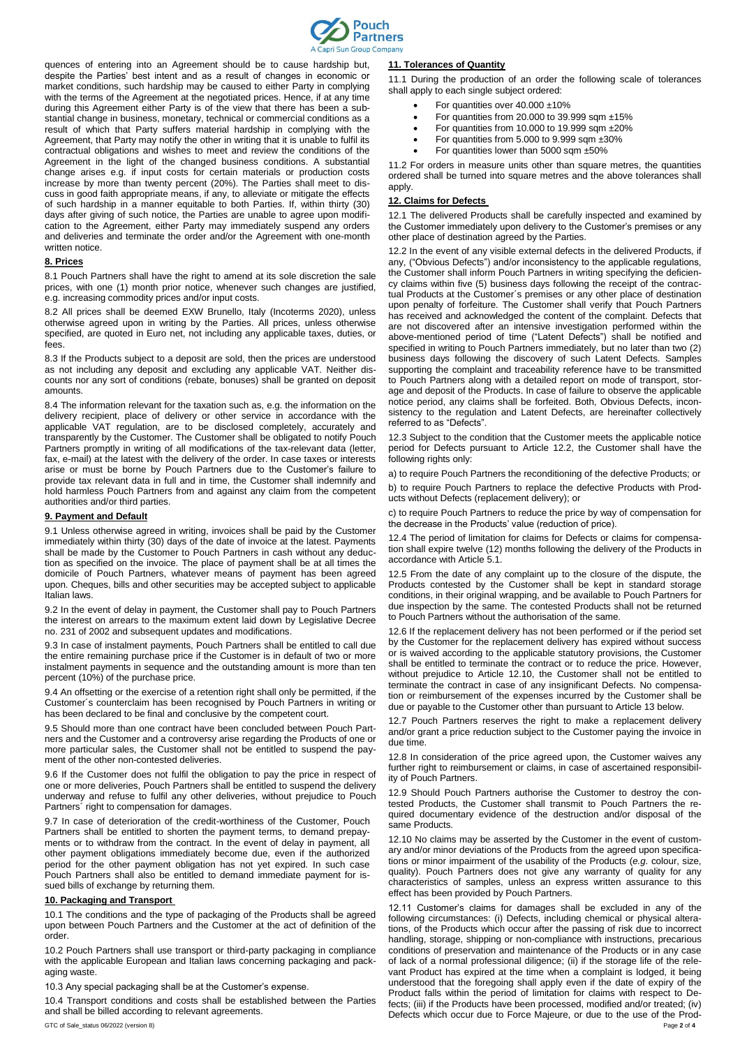

quences of entering into an Agreement should be to cause hardship but, despite the Parties' best intent and as a result of changes in economic or market conditions, such hardship may be caused to either Party in complying with the terms of the Agreement at the negotiated prices. Hence, if at any time during this Agreement either Party is of the view that there has been a substantial change in business, monetary, technical or commercial conditions as a result of which that Party suffers material hardship in complying with the Agreement, that Party may notify the other in writing that it is unable to fulfil its contractual obligations and wishes to meet and review the conditions of the Agreement in the light of the changed business conditions. A substantial change arises e.g. if input costs for certain materials or production costs increase by more than twenty percent (20%). The Parties shall meet to discuss in good faith appropriate means, if any, to alleviate or mitigate the effects of such hardship in a manner equitable to both Parties. If, within thirty (30) days after giving of such notice, the Parties are unable to agree upon modification to the Agreement, either Party may immediately suspend any orders and deliveries and terminate the order and/or the Agreement with one-month written notice.

#### **8. Prices**

8.1 Pouch Partners shall have the right to amend at its sole discretion the sale prices, with one (1) month prior notice, whenever such changes are justified, e.g. increasing commodity prices and/or input costs.

8.2 All prices shall be deemed EXW Brunello, Italy (Incoterms 2020), unless otherwise agreed upon in writing by the Parties. All prices, unless otherwise specified, are quoted in Euro net, not including any applicable taxes, duties, or fees

8.3 If the Products subject to a deposit are sold, then the prices are understood as not including any deposit and excluding any applicable VAT. Neither discounts nor any sort of conditions (rebate, bonuses) shall be granted on deposit amounts.

8.4 The information relevant for the taxation such as, e.g. the information on the delivery recipient, place of delivery or other service in accordance with the applicable VAT regulation, are to be disclosed completely, accurately and transparently by the Customer. The Customer shall be obligated to notify Pouch Partners promptly in writing of all modifications of the tax-relevant data (letter, fax, e-mail) at the latest with the delivery of the order. In case taxes or interests arise or must be borne by Pouch Partners due to the Customer's failure to provide tax relevant data in full and in time, the Customer shall indemnify and hold harmless Pouch Partners from and against any claim from the competent authorities and/or third parties.

## **9. Payment and Default**

9.1 Unless otherwise agreed in writing, invoices shall be paid by the Customer immediately within thirty (30) days of the date of invoice at the latest. Payments shall be made by the Customer to Pouch Partners in cash without any deduction as specified on the invoice. The place of payment shall be at all times the domicile of Pouch Partners, whatever means of payment has been agreed upon. Cheques, bills and other securities may be accepted subject to applicable Italian laws.

9.2 In the event of delay in payment, the Customer shall pay to Pouch Partners the interest on arrears to the maximum extent laid down by Legislative Decree no. 231 of 2002 and subsequent updates and modifications.

9.3 In case of instalment payments, Pouch Partners shall be entitled to call due the entire remaining purchase price if the Customer is in default of two or more instalment payments in sequence and the outstanding amount is more than ten percent (10%) of the purchase price.

9.4 An offsetting or the exercise of a retention right shall only be permitted, if the Customer´s counterclaim has been recognised by Pouch Partners in writing or has been declared to be final and conclusive by the competent court.

9.5 Should more than one contract have been concluded between Pouch Partners and the Customer and a controversy arise regarding the Products of one or more particular sales, the Customer shall not be entitled to suspend the payment of the other non-contested deliveries.

9.6 If the Customer does not fulfil the obligation to pay the price in respect of one or more deliveries, Pouch Partners shall be entitled to suspend the delivery underway and refuse to fulfil any other deliveries, without prejudice to Pouch Partners<sup>'</sup> right to compensation for damages.

9.7 In case of deterioration of the credit-worthiness of the Customer, Pouch Partners shall be entitled to shorten the payment terms, to demand prepayments or to withdraw from the contract. In the event of delay in payment, all other payment obligations immediately become due, even if the authorized period for the other payment obligation has not yet expired. In such case Pouch Partners shall also be entitled to demand immediate payment for issued bills of exchange by returning them.

#### **10. Packaging and Transport**

10.1 The conditions and the type of packaging of the Products shall be agreed upon between Pouch Partners and the Customer at the act of definition of the order.

10.2 Pouch Partners shall use transport or third-party packaging in compliance with the applicable European and Italian laws concerning packaging and packaging waste.

10.3 Any special packaging shall be at the Customer's expense.

10.4 Transport conditions and costs shall be established between the Parties and shall be billed according to relevant agreements.

## **11. Tolerances of Quantity**

11.1 During the production of an order the following scale of tolerances shall apply to each single subject ordered:

- For quantities over 40.000 ±10%
- For quantities from 20.000 to 39.999 sqm ±15%
- For quantities from 10.000 to 19.999 sqm ±20%
- For quantities from 5.000 to 9.999 sqm ±30%
- For quantities lower than 5000 sqm ±50%

11.2 For orders in measure units other than square metres, the quantities ordered shall be turned into square metres and the above tolerances shall apply.

#### **12. Claims for Defects**

12.1 The delivered Products shall be carefully inspected and examined by the Customer immediately upon delivery to the Customer's premises or any other place of destination agreed by the Parties.

12.2 In the event of any visible external defects in the delivered Products, if any, ("Obvious Defects") and/or inconsistency to the applicable regulations, the Customer shall inform Pouch Partners in writing specifying the deficiency claims within five (5) business days following the receipt of the contractual Products at the Customer´s premises or any other place of destination upon penalty of forfeiture. The Customer shall verify that Pouch Partners has received and acknowledged the content of the complaint. Defects that are not discovered after an intensive investigation performed within the above-mentioned period of time ("Latent Defects") shall be notified and specified in writing to Pouch Partners immediately, but no later than two (2) business days following the discovery of such Latent Defects. Samples supporting the complaint and traceability reference have to be transmitted to Pouch Partners along with a detailed report on mode of transport, storage and deposit of the Products. In case of failure to observe the applicable notice period, any claims shall be forfeited. Both, Obvious Defects, inconsistency to the regulation and Latent Defects, are hereinafter collectively referred to as "Defects".

12.3 Subject to the condition that the Customer meets the applicable notice period for Defects pursuant to Article 12.2, the Customer shall have the following rights only:

a) to require Pouch Partners the reconditioning of the defective Products; or b) to require Pouch Partners to replace the defective Products with Products without Defects (replacement delivery); or

c) to require Pouch Partners to reduce the price by way of compensation for the decrease in the Products' value (reduction of price).

12.4 The period of limitation for claims for Defects or claims for compensation shall expire twelve (12) months following the delivery of the Products in accordance with Article 5.1.

12.5 From the date of any complaint up to the closure of the dispute, the Products contested by the Customer shall be kept in standard storage conditions, in their original wrapping, and be available to Pouch Partners for due inspection by the same. The contested Products shall not be returned to Pouch Partners without the authorisation of the same.

12.6 If the replacement delivery has not been performed or if the period set by the Customer for the replacement delivery has expired without success or is waived according to the applicable statutory provisions, the Customer shall be entitled to terminate the contract or to reduce the price. However, without prejudice to Article 12.10, the Customer shall not be entitled to terminate the contract in case of any insignificant Defects. No compensation or reimbursement of the expenses incurred by the Customer shall be due or payable to the Customer other than pursuant to Article 13 below.

12.7 Pouch Partners reserves the right to make a replacement delivery and/or grant a price reduction subject to the Customer paying the invoice in due time.

12.8 In consideration of the price agreed upon, the Customer waives any further right to reimbursement or claims, in case of ascertained responsibility of Pouch Partners.

12.9 Should Pouch Partners authorise the Customer to destroy the contested Products, the Customer shall transmit to Pouch Partners the required documentary evidence of the destruction and/or disposal of the same Products.

12.10 No claims may be asserted by the Customer in the event of customary and/or minor deviations of the Products from the agreed upon specifications or minor impairment of the usability of the Products (*e.g*. colour, size, quality). Pouch Partners does not give any warranty of quality for any characteristics of samples, unless an express written assurance to this effect has been provided by Pouch Partners.

GTC of Sale status 06/2022 (version 8) Page 2 of 4 12.11 Customer's claims for damages shall be excluded in any of the following circumstances: (i) Defects, including chemical or physical alterations, of the Products which occur after the passing of risk due to incorrect handling, storage, shipping or non-compliance with instructions, precarious conditions of preservation and maintenance of the Products or in any case of lack of a normal professional diligence; (ii) if the storage life of the relevant Product has expired at the time when a complaint is lodged, it being understood that the foregoing shall apply even if the date of expiry of the Product falls within the period of limitation for claims with respect to Defects; (iii) if the Products have been processed, modified and/or treated; (iv) Defects which occur due to Force Majeure, or due to the use of the Prod-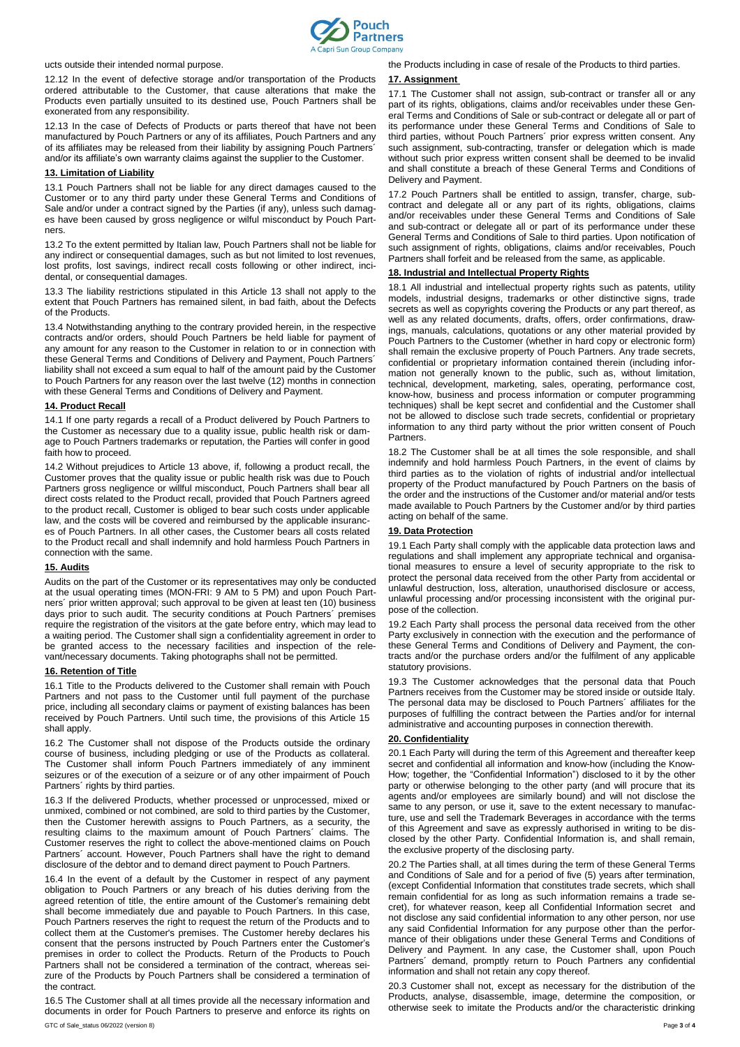

ucts outside their intended normal purpose.

12.12 In the event of defective storage and/or transportation of the Products ordered attributable to the Customer, that cause alterations that make the Products even partially unsuited to its destined use, Pouch Partners shall be exonerated from any responsibility.

12.13 In the case of Defects of Products or parts thereof that have not been manufactured by Pouch Partners or any of its affiliates, Pouch Partners and any of its affiliates may be released from their liability by assigning Pouch Partners´ and/or its affiliate's own warranty claims against the supplier to the Customer.

### **13. Limitation of Liability**

13.1 Pouch Partners shall not be liable for any direct damages caused to the Customer or to any third party under these General Terms and Conditions of Sale and/or under a contract signed by the Parties (if any), unless such damages have been caused by gross negligence or wilful misconduct by Pouch Partners.

13.2 To the extent permitted by Italian law, Pouch Partners shall not be liable for any indirect or consequential damages, such as but not limited to lost revenues, lost profits, lost savings, indirect recall costs following or other indirect, incidental, or consequential damages.

13.3 The liability restrictions stipulated in this Article 13 shall not apply to the extent that Pouch Partners has remained silent, in bad faith, about the Defects of the Products.

13.4 Notwithstanding anything to the contrary provided herein, in the respective contracts and/or orders, should Pouch Partners be held liable for payment of any amount for any reason to the Customer in relation to or in connection with these General Terms and Conditions of Delivery and Payment, Pouch Partners´ liability shall not exceed a sum equal to half of the amount paid by the Customer to Pouch Partners for any reason over the last twelve (12) months in connection with these General Terms and Conditions of Delivery and Payment.

#### **14. Product Recall**

14.1 If one party regards a recall of a Product delivered by Pouch Partners to the Customer as necessary due to a quality issue, public health risk or damage to Pouch Partners trademarks or reputation, the Parties will confer in good faith how to proceed.

14.2 Without prejudices to Article 13 above, if, following a product recall, the Customer proves that the quality issue or public health risk was due to Pouch Partners gross negligence or willful misconduct, Pouch Partners shall bear all direct costs related to the Product recall, provided that Pouch Partners agreed to the product recall, Customer is obliged to bear such costs under applicable law, and the costs will be covered and reimbursed by the applicable insurances of Pouch Partners. In all other cases, the Customer bears all costs related to the Product recall and shall indemnify and hold harmless Pouch Partners in connection with the same.

#### **15. Audits**

Audits on the part of the Customer or its representatives may only be conducted at the usual operating times (MON-FRI: 9 AM to 5 PM) and upon Pouch Partners´ prior written approval; such approval to be given at least ten (10) business days prior to such audit. The security conditions at Pouch Partners´ premises require the registration of the visitors at the gate before entry, which may lead to a waiting period. The Customer shall sign a confidentiality agreement in order to be granted access to the necessary facilities and inspection of the relevant/necessary documents. Taking photographs shall not be permitted.

### **16. Retention of Title**

16.1 Title to the Products delivered to the Customer shall remain with Pouch Partners and not pass to the Customer until full payment of the purchase price, including all secondary claims or payment of existing balances has been received by Pouch Partners. Until such time, the provisions of this Article 15 shall apply.

16.2 The Customer shall not dispose of the Products outside the ordinary course of business, including pledging or use of the Products as collateral. The Customer shall inform Pouch Partners immediately of any imminent seizures or of the execution of a seizure or of any other impairment of Pouch Partners´ rights by third parties.

16.3 If the delivered Products, whether processed or unprocessed, mixed or unmixed, combined or not combined, are sold to third parties by the Customer, then the Customer herewith assigns to Pouch Partners, as a security, the resulting claims to the maximum amount of Pouch Partners´ claims. The Customer reserves the right to collect the above-mentioned claims on Pouch Partners' account. However, Pouch Partners shall have the right to demand disclosure of the debtor and to demand direct payment to Pouch Partners.

16.4 In the event of a default by the Customer in respect of any payment obligation to Pouch Partners or any breach of his duties deriving from the agreed retention of title, the entire amount of the Customer's remaining debt shall become immediately due and payable to Pouch Partners. In this case, Pouch Partners reserves the right to request the return of the Products and to collect them at the Customer's premises. The Customer hereby declares his consent that the persons instructed by Pouch Partners enter the Customer's premises in order to collect the Products. Return of the Products to Pouch Partners shall not be considered a termination of the contract, whereas seizure of the Products by Pouch Partners shall be considered a termination of the contract.

GTC of Sale status 06/2022 (version 8) Page **3** of **4** Page **3** of **4** 16.5 The Customer shall at all times provide all the necessary information and documents in order for Pouch Partners to preserve and enforce its rights on

the Products including in case of resale of the Products to third parties.

#### **17. Assignment**

17.1 The Customer shall not assign, sub-contract or transfer all or any part of its rights, obligations, claims and/or receivables under these General Terms and Conditions of Sale or sub-contract or delegate all or part of its performance under these General Terms and Conditions of Sale to third parties, without Pouch Partners´ prior express written consent. Any such assignment, sub-contracting, transfer or delegation which is made without such prior express written consent shall be deemed to be invalid and shall constitute a breach of these General Terms and Conditions of Delivery and Payment.

17.2 Pouch Partners shall be entitled to assign, transfer, charge, subcontract and delegate all or any part of its rights, obligations, claims and/or receivables under these General Terms and Conditions of Sale and sub-contract or delegate all or part of its performance under these General Terms and Conditions of Sale to third parties. Upon notification of such assignment of rights, obligations, claims and/or receivables, Pouch Partners shall forfeit and be released from the same, as applicable.

#### **18. Industrial and Intellectual Property Rights**

18.1 All industrial and intellectual property rights such as patents, utility models, industrial designs, trademarks or other distinctive signs, trade secrets as well as copyrights covering the Products or any part thereof, as well as any related documents, drafts, offers, order confirmations, drawings, manuals, calculations, quotations or any other material provided by Pouch Partners to the Customer (whether in hard copy or electronic form) shall remain the exclusive property of Pouch Partners. Any trade secrets, confidential or proprietary information contained therein (including information not generally known to the public, such as, without limitation, technical, development, marketing, sales, operating, performance cost, know-how, business and process information or computer programming techniques) shall be kept secret and confidential and the Customer shall not be allowed to disclose such trade secrets, confidential or proprietary information to any third party without the prior written consent of Pouch Partners.

18.2 The Customer shall be at all times the sole responsible, and shall indemnify and hold harmless Pouch Partners, in the event of claims by third parties as to the violation of rights of industrial and/or intellectual property of the Product manufactured by Pouch Partners on the basis of the order and the instructions of the Customer and/or material and/or tests made available to Pouch Partners by the Customer and/or by third parties acting on behalf of the same.

## **19. Data Protection**

19.1 Each Party shall comply with the applicable data protection laws and regulations and shall implement any appropriate technical and organisational measures to ensure a level of security appropriate to the risk to protect the personal data received from the other Party from accidental or unlawful destruction, loss, alteration, unauthorised disclosure or access, unlawful processing and/or processing inconsistent with the original purpose of the collection.

19.2 Each Party shall process the personal data received from the other Party exclusively in connection with the execution and the performance of these General Terms and Conditions of Delivery and Payment, the contracts and/or the purchase orders and/or the fulfilment of any applicable statutory provisions.

19.3 The Customer acknowledges that the personal data that Pouch Partners receives from the Customer may be stored inside or outside Italy. The personal data may be disclosed to Pouch Partners´ affiliates for the purposes of fulfilling the contract between the Parties and/or for internal administrative and accounting purposes in connection therewith.

## **20. Confidentiality**

20.1 Each Party will during the term of this Agreement and thereafter keep secret and confidential all information and know-how (including the Know-How; together, the "Confidential Information") disclosed to it by the other party or otherwise belonging to the other party (and will procure that its agents and/or employees are similarly bound) and will not disclose the same to any person, or use it, save to the extent necessary to manufacture, use and sell the Trademark Beverages in accordance with the terms of this Agreement and save as expressly authorised in writing to be disclosed by the other Party. Confidential Information is, and shall remain, the exclusive property of the disclosing party.

20.2 The Parties shall, at all times during the term of these General Terms and Conditions of Sale and for a period of five (5) years after termination, (except Confidential Information that constitutes trade secrets, which shall remain confidential for as long as such information remains a trade secret), for whatever reason, keep all Confidential Information secret and not disclose any said confidential information to any other person, nor use any said Confidential Information for any purpose other than the performance of their obligations under these General Terms and Conditions of Delivery and Payment. In any case, the Customer shall, upon Pouch Partners´ demand, promptly return to Pouch Partners any confidential information and shall not retain any copy thereof.

20.3 Customer shall not, except as necessary for the distribution of the Products, analyse, disassemble, image, determine the composition, or otherwise seek to imitate the Products and/or the characteristic drinking